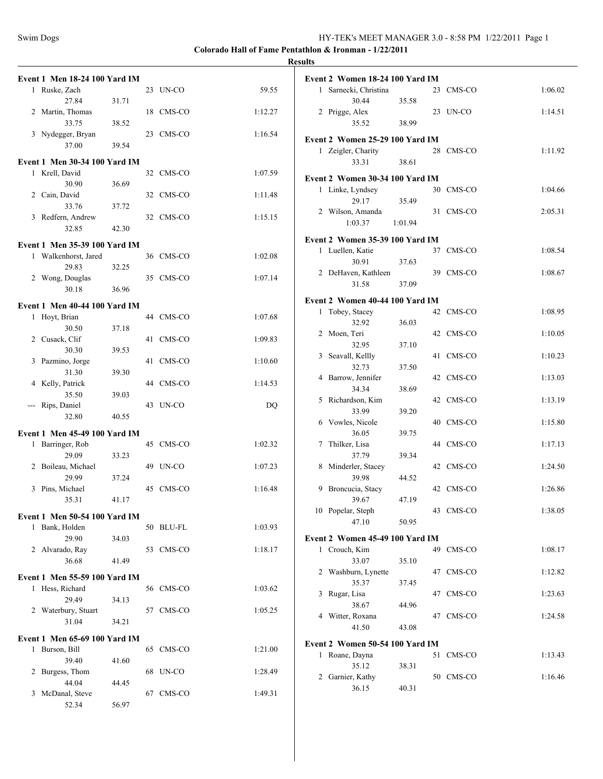|       |                                      |       |    |           |         | <b>Results</b> |
|-------|--------------------------------------|-------|----|-----------|---------|----------------|
|       | <b>Event 1 Men 18-24 100 Yard IM</b> |       |    |           |         | Ev             |
|       | 1 Ruske, Zach<br>27.84               | 31.71 |    | 23 UN-CO  | 59.55   |                |
|       | 2 Martin, Thomas<br>33.75            | 38.52 |    | 18 CMS-CO | 1:12.27 |                |
|       | 3 Nydegger, Bryan                    |       |    | 23 CMS-CO | 1:16.54 | Eve            |
|       | 37.00                                | 39.54 |    |           |         |                |
|       | <b>Event 1 Men 30-34 100 Yard IM</b> |       |    |           |         |                |
|       | 1 Krell, David<br>30.90              | 36.69 |    | 32 CMS-CO | 1:07.59 | Ev             |
|       | 2 Cain, David<br>33.76               | 37.72 |    | 32 CMS-CO | 1:11.48 |                |
|       | 3 Redfern, Andrew<br>32.85           | 42.30 |    | 32 CMS-CO | 1:15.15 |                |
|       |                                      |       |    |           |         | Evo            |
|       | <b>Event 1 Men 35-39 100 Yard IM</b> |       |    |           |         |                |
|       | 1 Walkenhorst, Jared<br>29.83        | 32.25 |    | 36 CMS-CO | 1:02.08 |                |
|       | 2 Wong, Douglas<br>30.18             | 36.96 |    | 35 CMS-CO | 1:07.14 |                |
|       | <b>Event 1 Men 40-44 100 Yard IM</b> |       |    |           |         | Ev             |
|       | 1 Hoyt, Brian                        |       |    | 44 CMS-CO | 1:07.68 |                |
|       | 30.50                                | 37.18 |    |           |         |                |
|       | 2 Cusack, Clif<br>30.30              | 39.53 | 41 | CMS-CO    | 1:09.83 |                |
|       | 3 Pazmino, Jorge<br>31.30            | 39.30 |    | 41 CMS-CO | 1:10.60 |                |
|       | 4 Kelly, Patrick<br>35.50            | 39.03 |    | 44 CMS-CO | 1:14.53 |                |
| $---$ | Rips, Daniel                         |       |    | 43 UN-CO  | DQ      |                |
|       | 32.80                                | 40.55 |    |           |         |                |
|       | <b>Event 1 Men 45-49 100 Yard IM</b> |       |    |           |         |                |
|       | 1 Barringer, Rob<br>29.09            | 33.23 |    | 45 CMS-CO | 1:02.32 |                |
|       | 2 Boileau, Michael<br>29.99          | 37.24 | 49 | UN-CO     | 1:07.23 |                |
|       | 3 Pins, Michael                      |       |    | 45 CMS-CO | 1:16.48 |                |
|       | 35.31                                | 41.17 |    |           |         |                |
|       | Event 1 Men 50-54 100 Yard IM        |       |    |           |         |                |
|       | 1 Bank, Holden<br>29.90              | 34.03 |    | 50 BLU-FL | 1:03.93 | Ev             |
|       | 2 Alvarado, Ray<br>36.68             | 41.49 |    | 53 CMS-CO | 1:18.17 |                |
|       |                                      |       |    |           |         |                |
|       | Event 1 Men 55-59 100 Yard IM        |       |    |           |         |                |
|       | 1 Hess, Richard<br>29.49             | 34.13 |    | 56 CMS-CO | 1:03.62 |                |
|       | 2 Waterbury, Stuart<br>31.04         | 34.21 |    | 57 CMS-CO | 1:05.25 |                |
|       | <b>Event 1 Men 65-69 100 Yard IM</b> |       |    |           |         |                |
|       | 1 Burson, Bill                       |       |    | 65 CMS-CO | 1:21.00 | Ev             |
|       | 39.40                                | 41.60 |    |           |         |                |
|       | 2 Burgess, Thom<br>44.04             | 44.45 |    | 68 UN-CO  | 1:28.49 |                |
|       | 3 McDanal, Steve                     |       |    | 67 CMS-CO | 1:49.31 |                |
|       | 52.34                                | 56.97 |    |           |         |                |

|              | Event 2 Women 18-24 100 Yard IM |         |    |           |         |
|--------------|---------------------------------|---------|----|-----------|---------|
| $\mathbf{1}$ | Sarnecki, Christina             |         |    | 23 CMS-CO | 1:06.02 |
|              | 30.44                           | 35.58   |    |           |         |
|              | 2 Prigge, Alex                  |         |    | 23 UN-CO  | 1:14.51 |
|              | 35.52                           | 38.99   |    |           |         |
|              | Event 2 Women 25-29 100 Yard IM |         |    |           |         |
|              | 1 Zeigler, Charity              |         |    | 28 CMS-CO | 1:11.92 |
|              | 33.31                           | 38.61   |    |           |         |
|              |                                 |         |    |           |         |
|              | Event 2 Women 30-34 100 Yard IM |         |    |           |         |
|              | 1 Linke, Lyndsey                |         |    | 30 CMS-CO | 1:04.66 |
|              | 29.17                           | 35.49   | 31 | CMS-CO    | 2:05.31 |
|              | 2 Wilson, Amanda<br>1:03.37     | 1:01.94 |    |           |         |
|              |                                 |         |    |           |         |
|              | Event 2 Women 35-39 100 Yard IM |         |    |           |         |
|              | 1 Luellen, Katie                |         |    | 37 CMS-CO | 1:08.54 |
|              | 30.91                           | 37.63   |    |           |         |
|              | 2 DeHaven, Kathleen<br>31.58    | 37.09   |    | 39 CMS-CO | 1:08.67 |
|              |                                 |         |    |           |         |
|              | Event 2 Women 40-44 100 Yard IM |         |    |           |         |
| 1            | Tobey, Stacey                   |         | 42 | CMS-CO    | 1:08.95 |
|              | 32.92                           | 36.03   |    |           |         |
| 2            | Moen, Teri<br>32.95             |         |    | 42 CMS-CO | 1:10.05 |
| 3            | Seavall, Kellly                 | 37.10   | 41 | CMS-CO    | 1:10.23 |
|              | 32.73                           | 37.50   |    |           |         |
| 4            | Barrow, Jennifer                |         |    | 42 CMS-CO | 1:13.03 |
|              | 34.34                           | 38.69   |    |           |         |
| 5            | Richardson, Kim                 |         | 42 | CMS-CO    | 1:13.19 |
|              | 33.99                           | 39.20   |    |           |         |
| 6            | Vowles, Nicole                  |         | 40 | CMS-CO    | 1:15.80 |
|              | 36.05                           | 39.75   |    |           |         |
| 7            | Thilker, Lisa                   |         |    | 44 CMS-CO | 1:17.13 |
|              | 37.79                           | 39.34   |    | 42 CMS-CO |         |
| 8            | Minderler, Stacey<br>39.98      | 44.52   |    |           | 1:24.50 |
|              | 9 Broncucia, Stacy              |         |    | 42 CMS-CO | 1:26.86 |
|              | 39.67                           | 47.19   |    |           |         |
|              | 10 Popelar, Steph               |         |    | 43 CMS-CO | 1:38.05 |
|              | 47.10                           | 50.95   |    |           |         |
|              | Event 2 Women 45-49 100 Yard IM |         |    |           |         |
|              | 1 Crouch, Kim                   |         | 49 | CMS-CO    | 1:08.17 |
|              | 33.07                           | 35.10   |    |           |         |
|              | 2 Washburn, Lynette             |         | 47 | CMS-CO    | 1:12.82 |
|              | 35.37                           | 37.45   |    |           |         |
| 3            | Rugar, Lisa                     |         | 47 | CMS-CO    | 1:23.63 |
|              | 38.67                           | 44.96   |    |           |         |
| 4            | Witter, Roxana                  |         |    | 47 CMS-CO | 1:24.58 |
|              | 41.50                           | 43.08   |    |           |         |
|              | Event 2 Women 50-54 100 Yard IM |         |    |           |         |
| 1            | Roane, Dayna                    |         | 51 | CMS-CO    | 1:13.43 |
|              | 35.12                           | 38.31   |    |           |         |
| 2            | Garnier, Kathy                  |         |    | 50 CMS-CO | 1:16.46 |
|              | 36.15                           | 40.31   |    |           |         |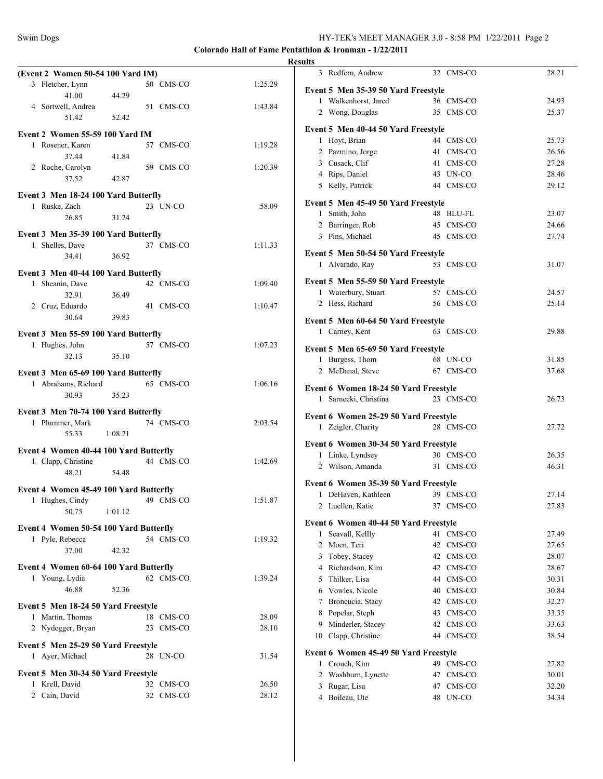|                                                         |                    |         | <b>Results</b>                                        |                        |                |
|---------------------------------------------------------|--------------------|---------|-------------------------------------------------------|------------------------|----------------|
| (Event 2 Women 50-54 100 Yard IM)                       |                    |         | 3 Redfern, Andrew                                     | 32 CMS-CO              | 28.21          |
| 3 Fletcher, Lynn                                        | 50 CMS-CO          | 1:25.29 | Event 5 Men 35-39 50 Yard Freestyle                   |                        |                |
| 41.00                                                   | 44.29              |         | 1 Walkenhorst, Jared                                  | 36 CMS-CO              | 24.93          |
| 4 Sortwell, Andrea<br>51.42                             | 51 CMS-CO<br>52.42 | 1:43.84 | 2 Wong, Douglas                                       | 35 CMS-CO              | 25.37          |
| Event 2 Women 55-59 100 Yard IM                         |                    |         | Event 5 Men 40-44 50 Yard Freestyle                   |                        |                |
| 1 Rosener, Karen                                        | 57 CMS-CO          | 1:19.28 | 1 Hoyt, Brian                                         | 44 CMS-CO              | 25.73          |
| 37.44                                                   | 41.84              |         | 2 Pazmino, Jorge                                      | 41 CMS-CO              | 26.56          |
| 2 Roche, Carolyn                                        | 59 CMS-CO          | 1:20.39 | 3 Cusack, Clif                                        | 41 CMS-CO              | 27.28          |
| 37.52                                                   | 42.87              |         | 4 Rips, Daniel                                        | 43 UN-CO               | 28.46          |
| Event 3 Men 18-24 100 Yard Butterfly                    |                    |         | 5 Kelly, Patrick                                      | 44 CMS-CO              | 29.12          |
| 1 Ruske, Zach                                           | 23 UN-CO           | 58.09   | Event 5 Men 45-49 50 Yard Freestyle                   |                        |                |
| 26.85                                                   | 31.24              |         | 1 Smith, John                                         | 48 BLU-FL              | 23.07          |
|                                                         |                    |         | 2 Barringer, Rob                                      | 45 CMS-CO              | 24.66          |
| Event 3 Men 35-39 100 Yard Butterfly<br>1 Shelles, Dave | 37 CMS-CO          | 1:11.33 | 3 Pins, Michael                                       | 45 CMS-CO              | 27.74          |
| 34.41                                                   | 36.92              |         | Event 5 Men 50-54 50 Yard Freestyle                   |                        |                |
|                                                         |                    |         | 1 Alvarado, Rav                                       | 53 CMS-CO              | 31.07          |
| Event 3 Men 40-44 100 Yard Butterfly                    |                    |         | Event 5 Men 55-59 50 Yard Freestyle                   |                        |                |
| 1 Sheanin, Dave<br>32.91                                | 42 CMS-CO<br>36.49 | 1:09.40 | 1 Waterbury, Stuart                                   | 57 CMS-CO              | 24.57          |
| 2 Cruz, Eduardo                                         | 41 CMS-CO          | 1:10.47 | 2 Hess, Richard                                       | 56 CMS-CO              | 25.14          |
| 30.64                                                   | 39.83              |         |                                                       |                        |                |
|                                                         |                    |         | Event 5 Men 60-64 50 Yard Freestyle<br>1 Carney, Kent | 63 CMS-CO              | 29.88          |
| Event 3 Men 55-59 100 Yard Butterfly                    |                    |         |                                                       |                        |                |
| 1 Hughes, John<br>32.13                                 | 57 CMS-CO<br>35.10 | 1:07.23 | Event 5 Men 65-69 50 Yard Freestyle                   |                        |                |
|                                                         |                    |         | 1 Burgess, Thom                                       | 68 UN-CO               | 31.85          |
| Event 3 Men 65-69 100 Yard Butterfly                    |                    |         | 2 McDanal, Steve                                      | 67 CMS-CO              | 37.68          |
| 1 Abrahams, Richard                                     | 65 CMS-CO          | 1:06.16 | Event 6 Women 18-24 50 Yard Freestyle                 |                        |                |
| 30.93                                                   | 35.23              |         | 1 Sarnecki, Christina                                 | 23 CMS-CO              | 26.73          |
| Event 3 Men 70-74 100 Yard Butterfly                    |                    |         | Event 6 Women 25-29 50 Yard Freestyle                 |                        |                |
| 1 Plummer, Mark                                         | 74 CMS-CO          | 2:03.54 | 1 Zeigler, Charity                                    | 28 CMS-CO              | 27.72          |
| 55.33                                                   | 1:08.21            |         |                                                       |                        |                |
| Event 4 Women 40-44 100 Yard Butterfly                  |                    |         | Event 6 Women 30-34 50 Yard Freestyle                 |                        |                |
| 1 Clapp, Christine                                      | 44 CMS-CO          | 1:42.69 | 1 Linke, Lyndsey<br>2 Wilson, Amanda                  | 30 CMS-CO<br>31 CMS-CO | 26.35<br>46.31 |
| 48.21                                                   | 54.48              |         |                                                       |                        |                |
| Event 4 Women 45-49 100 Yard Butterfly                  |                    |         | Event 6 Women 35-39 50 Yard Freestyle                 |                        |                |
| 1 Hughes, Cindy                                         | 49 CMS-CO          | 1:51.87 | 1 DeHaven, Kathleen                                   | 39 CMS-CO              | 27.14          |
| 50.75                                                   | 1:01.12            |         | 2 Luellen, Katie                                      | 37 CMS-CO              | 27.83          |
| Event 4 Women 50-54 100 Yard Butterfly                  |                    |         | Event 6 Women 40-44 50 Yard Freestyle                 |                        |                |
| 1 Pyle, Rebecca                                         | 54 CMS-CO          | 1:19.32 | 1 Seavall, Kellly                                     | 41 CMS-CO              | 27.49          |
| 37.00                                                   | 42.32              |         | 2 Moen, Teri                                          | 42 CMS-CO              | 27.65          |
|                                                         |                    |         | 3 Tobey, Stacey                                       | 42 CMS-CO              | 28.07          |
| Event 4 Women 60-64 100 Yard Butterfly                  |                    |         | 4 Richardson, Kim                                     | 42 CMS-CO              | 28.67          |
| 1 Young, Lydia<br>46.88                                 | 62 CMS-CO<br>52.36 | 1:39.24 | Thilker, Lisa<br>5                                    | 44 CMS-CO              | 30.31          |
|                                                         |                    |         | 6 Vowles, Nicole<br>Broncucia, Stacy<br>7             | 40 CMS-CO<br>42 CMS-CO | 30.84<br>32.27 |
| Event 5 Men 18-24 50 Yard Freestyle                     |                    |         | Popelar, Steph<br>8                                   | 43 CMS-CO              | 33.35          |
| 1 Martin, Thomas                                        | 18 CMS-CO          | 28.09   | Minderler, Stacey<br>9                                | 42 CMS-CO              | 33.63          |
| 2 Nydegger, Bryan                                       | 23 CMS-CO          | 28.10   | 10 Clapp, Christine                                   | 44 CMS-CO              | 38.54          |
| Event 5 Men 25-29 50 Yard Freestyle                     |                    |         |                                                       |                        |                |
| 1 Ayer, Michael                                         | 28 UN-CO           | 31.54   | Event 6 Women 45-49 50 Yard Freestyle                 |                        |                |
| Event 5 Men 30-34 50 Yard Freestyle                     |                    |         | 1 Crouch, Kim<br>2 Washburn, Lynette                  | 49 CMS-CO<br>47 CMS-CO | 27.82<br>30.01 |
| 1 Krell, David                                          | 32 CMS-CO          | 26.50   | 3 Rugar, Lisa                                         | 47 CMS-CO              | 32.20          |
| 2 Cain, David                                           | 32 CMS-CO          | 28.12   | 4 Boileau, Ute                                        | 48 UN-CO               | 34.34          |
|                                                         |                    |         |                                                       |                        |                |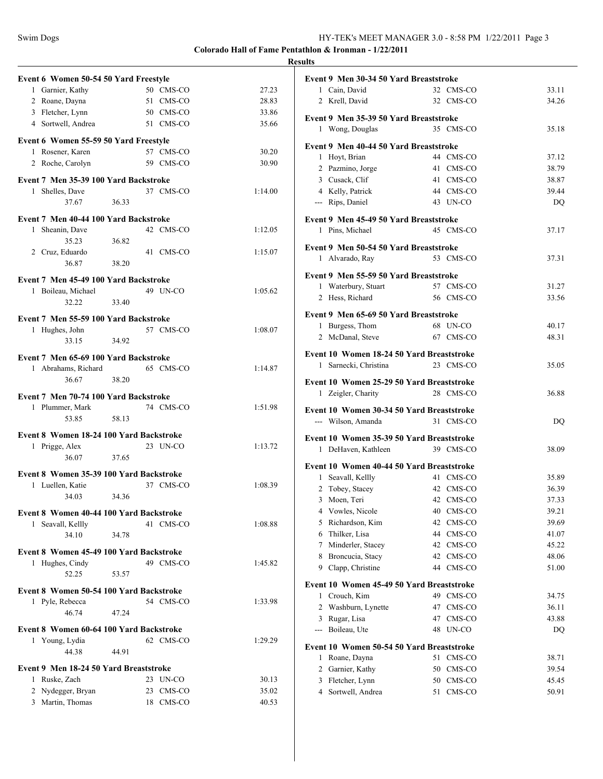| Event 6 Women 50-54 50 Yard Freestyle   |       |           |         |
|-----------------------------------------|-------|-----------|---------|
| 1 Garnier, Kathy                        |       | 50 CMS-CO | 27.23   |
| 2 Roane, Dayna                          |       | 51 CMS-CO | 28.83   |
| 3 Fletcher, Lynn                        |       | 50 CMS-CO | 33.86   |
| 4 Sortwell, Andrea                      |       | 51 CMS-CO | 35.66   |
| Event 6 Women 55-59 50 Yard Freestyle   |       |           |         |
| 1 Rosener, Karen                        |       | 57 CMS-CO | 30.20   |
| 2 Roche, Carolyn                        |       | 59 CMS-CO | 30.90   |
| Event 7 Men 35-39 100 Yard Backstroke   |       |           |         |
| 1 Shelles, Dave<br>37.67                | 36.33 | 37 CMS-CO | 1:14.00 |
| Event 7 Men 40-44 100 Yard Backstroke   |       |           |         |
| 1 Sheanin, Dave                         |       | 42 CMS-CO | 1:12.05 |
| 35.23                                   | 36.82 |           |         |
| 2 Cruz, Eduardo                         |       | 41 CMS-CO | 1:15.07 |
| 36.87                                   | 38.20 |           |         |
| Event 7 Men 45-49 100 Yard Backstroke   |       |           |         |
| 1 Boileau, Michael                      |       | 49 UN-CO  | 1:05.62 |
| 32.22                                   | 33.40 |           |         |
| Event 7 Men 55-59 100 Yard Backstroke   |       |           |         |
| 1 Hughes, John                          |       | 57 CMS-CO | 1:08.07 |
| 33.15                                   | 34.92 |           |         |
| Event 7 Men 65-69 100 Yard Backstroke   |       |           |         |
| 1 Abrahams, Richard                     |       | 65 CMS-CO | 1:14.87 |
| 36.67                                   | 38.20 |           |         |
| Event 7 Men 70-74 100 Yard Backstroke   |       |           |         |
| 1 Plummer, Mark                         |       | 74 CMS-CO | 1:51.98 |
| 53.85                                   | 58.13 |           |         |
| Event 8 Women 18-24 100 Yard Backstroke |       |           |         |
| 1 Prigge, Alex                          |       | 23 UN-CO  | 1:13.72 |
| 36.07                                   | 37.65 |           |         |
| Event 8 Women 35-39 100 Yard Backstroke |       |           |         |
| 1 Luellen, Katie                        |       | 37 CMS-CO | 1:08.39 |
| 34.03                                   | 34.36 |           |         |
| Event 8 Women 40-44 100 Yard Backstroke |       |           |         |
| 1 Seavall, Kellly<br>34.10              | 34.78 | 41 CMS-CO | 1:08.88 |
|                                         |       |           |         |
| Event 8 Women 45-49 100 Yard Backstroke |       | 49 CMS-CO | 1:45.82 |
| 1 Hughes, Cindy<br>52.25                | 53.57 |           |         |
| Event 8 Women 50-54 100 Yard Backstroke |       |           |         |
| 1 Pyle, Rebecca                         |       | 54 CMS-CO | 1:33.98 |
| 46.74                                   | 47.24 |           |         |
| Event 8 Women 60-64 100 Yard Backstroke |       |           |         |
| 1 Young, Lydia                          |       | 62 CMS-CO | 1:29.29 |
| 44.38                                   | 44.91 |           |         |
| Event 9 Men 18-24 50 Yard Breaststroke  |       |           |         |
| 1 Ruske, Zach                           |       | 23 UN-CO  | 30.13   |
| 2 Nydegger, Bryan                       |       | 23 CMS-CO | 35.02   |
| 3 Martin, Thomas                        |       | 18 CMS-CO | 40.53   |
|                                         |       |           |         |

| Event 9 Men 30-34 50 Yard Breaststroke    |              |       |  |  |  |  |  |
|-------------------------------------------|--------------|-------|--|--|--|--|--|
| 1 Cain, David                             | 32 CMS-CO    | 33.11 |  |  |  |  |  |
| 2<br>Krell, David                         | 32 CMS-CO    | 34.26 |  |  |  |  |  |
|                                           |              |       |  |  |  |  |  |
| Event 9 Men 35-39 50 Yard Breaststroke    |              |       |  |  |  |  |  |
| 1 Wong, Douglas                           | 35 CMS-CO    | 35.18 |  |  |  |  |  |
| Event 9 Men 40-44 50 Yard Breaststroke    |              |       |  |  |  |  |  |
| 1 Hoyt, Brian                             | 44 CMS-CO    | 37.12 |  |  |  |  |  |
| 2 Pazmino, Jorge                          | 41 CMS-CO    | 38.79 |  |  |  |  |  |
| 3 Cusack, Clif                            | 41 CMS-CO    | 38.87 |  |  |  |  |  |
| 4 Kelly, Patrick                          | 44 CMS-CO    | 39.44 |  |  |  |  |  |
| --- Rips, Daniel                          | 43 UN-CO     | DQ    |  |  |  |  |  |
|                                           |              |       |  |  |  |  |  |
| Event 9 Men 45-49 50 Yard Breaststroke    |              |       |  |  |  |  |  |
| 1 Pins, Michael                           | 45 CMS-CO    | 37.17 |  |  |  |  |  |
|                                           |              |       |  |  |  |  |  |
| Event 9 Men 50-54 50 Yard Breaststroke    |              |       |  |  |  |  |  |
| 1 Alvarado, Ray                           | 53 CMS-CO    | 37.31 |  |  |  |  |  |
| Event 9 Men 55-59 50 Yard Breaststroke    |              |       |  |  |  |  |  |
| 1 Waterbury, Stuart                       | 57 CMS-CO    | 31.27 |  |  |  |  |  |
| Hess, Richard<br>2                        | 56 CMS-CO    | 33.56 |  |  |  |  |  |
|                                           |              |       |  |  |  |  |  |
| Event 9 Men 65-69 50 Yard Breaststroke    |              |       |  |  |  |  |  |
| 1 Burgess, Thom                           | 68 UN-CO     | 40.17 |  |  |  |  |  |
| 2 McDanal, Steve                          | 67 CMS-CO    | 48.31 |  |  |  |  |  |
| Event 10 Women 18-24 50 Yard Breaststroke |              |       |  |  |  |  |  |
| Sarnecki, Christina<br>1                  | 23 CMS-CO    | 35.05 |  |  |  |  |  |
|                                           |              |       |  |  |  |  |  |
| Event 10 Women 25-29 50 Yard Breaststroke |              |       |  |  |  |  |  |
| 1 Zeigler, Charity                        | 28 CMS-CO    | 36.88 |  |  |  |  |  |
|                                           |              |       |  |  |  |  |  |
| Event 10 Women 30-34 50 Yard Breaststroke | 31 CMS-CO    |       |  |  |  |  |  |
| --- Wilson, Amanda                        |              | DQ    |  |  |  |  |  |
| Event 10 Women 35-39 50 Yard Breaststroke |              |       |  |  |  |  |  |
| 1<br>DeHaven, Kathleen                    | 39 CMS-CO    | 38.09 |  |  |  |  |  |
| Event 10 Women 40-44 50 Yard Breaststroke |              |       |  |  |  |  |  |
| 1 Seavall, Kellly                         | 41 CMS-CO    | 35.89 |  |  |  |  |  |
| 2 Tobey, Stacey                           | 42 CMS-CO    | 36.39 |  |  |  |  |  |
| 3 Moen, Teri                              | 42 CMS-CO    | 37.33 |  |  |  |  |  |
| 4                                         |              |       |  |  |  |  |  |
| Vowles, Nicole                            | 40 CMS-CO    | 39.21 |  |  |  |  |  |
| 5<br>Richardson, Kim                      | 42<br>CMS-CO | 39.69 |  |  |  |  |  |
| 6 Thilker, Lisa                           | 44<br>CMS-CO | 41.07 |  |  |  |  |  |
| 7 Minderler, Stacey                       | 42<br>CMS-CO | 45.22 |  |  |  |  |  |
| 8 Broncucia, Stacy                        | 42<br>CMS-CO | 48.06 |  |  |  |  |  |
| 9 Clapp, Christine                        | 44<br>CMS-CO | 51.00 |  |  |  |  |  |
| Event 10 Women 45-49 50 Yard Breaststroke |              |       |  |  |  |  |  |
| $\mathbf{1}$<br>Crouch, Kim               | 49 CMS-CO    | 34.75 |  |  |  |  |  |
| $\overline{2}$<br>Washburn, Lynette       | 47<br>CMS-CO | 36.11 |  |  |  |  |  |
| Rugar, Lisa<br>3                          | CMS-CO<br>47 | 43.88 |  |  |  |  |  |
| Boileau, Ute<br>$---$                     | UN-CO<br>48  | DQ    |  |  |  |  |  |
|                                           |              |       |  |  |  |  |  |
| Event 10 Women 50-54 50 Yard Breaststroke |              |       |  |  |  |  |  |
| Roane, Dayna<br>1                         |              | 38.71 |  |  |  |  |  |
| $\overline{2}$<br>Garnier, Kathy          | 51<br>CMS-CO |       |  |  |  |  |  |
|                                           | 50<br>CMS-CO | 39.54 |  |  |  |  |  |
| 3<br>Fletcher, Lynn                       | 50 CMS-CO    | 45.45 |  |  |  |  |  |
| Sortwell, Andrea<br>$\overline{4}$        | 51<br>CMS-CO | 50.91 |  |  |  |  |  |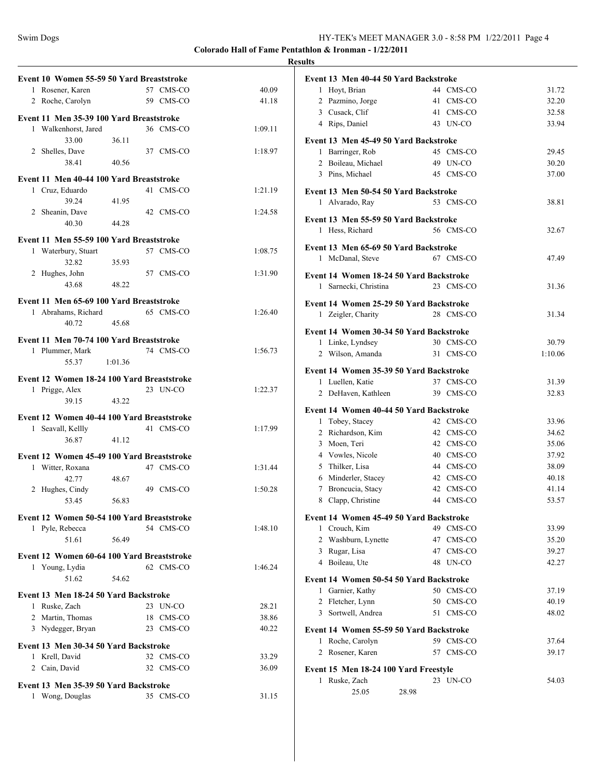|                                                                 |           |         | <b>Results</b> |
|-----------------------------------------------------------------|-----------|---------|----------------|
| Event 10 Women 55-59 50 Yard Breaststroke                       |           |         | Eve            |
| 1 Rosener, Karen                                                | 57 CMS-CO | 40.09   |                |
| 2 Roche, Carolyn                                                | 59 CMS-CO | 41.18   |                |
| Event 11 Men 35-39 100 Yard Breaststroke                        |           |         |                |
| 1 Walkenhorst, Jared                                            | 36 CMS-CO | 1:09.11 |                |
| 36.11<br>33.00                                                  |           |         | Eve            |
| 2 Shelles, Dave                                                 | 37 CMS-CO | 1:18.97 |                |
| 38.41<br>40.56                                                  |           |         |                |
| Event 11 Men 40-44 100 Yard Breaststroke                        |           |         |                |
| 1 Cruz, Eduardo                                                 | 41 CMS-CO | 1:21.19 | Eve            |
| 39.24<br>41.95                                                  |           |         |                |
| 2 Sheanin, Dave                                                 | 42 CMS-CO | 1:24.58 |                |
| 40.30<br>44.28                                                  |           |         | Eve            |
|                                                                 |           |         |                |
| Event 11 Men 55-59 100 Yard Breaststroke<br>1 Waterbury, Stuart | 57 CMS-CO | 1:08.75 | Eve            |
| 32.82<br>35.93                                                  |           |         |                |
| 2 Hughes, John                                                  | 57 CMS-CO | 1:31.90 |                |
| 43.68<br>48.22                                                  |           |         | Eve            |
|                                                                 |           |         |                |
| Event 11 Men 65-69 100 Yard Breaststroke                        |           |         | Eve            |
| 1 Abrahams, Richard                                             | 65 CMS-CO | 1:26.40 |                |
| 45.68<br>40.72                                                  |           |         | Eve            |
| Event 11 Men 70-74 100 Yard Breaststroke                        |           |         |                |
| 1 Plummer, Mark                                                 | 74 CMS-CO | 1:56.73 |                |
| 55.37 1:01.36                                                   |           |         |                |
|                                                                 |           |         | Eve            |
| Event 12 Women 18-24 100 Yard Breaststroke                      |           |         |                |
| 1 Prigge, Alex<br>39.15<br>43.22                                | 23 UN-CO  | 1:22.37 |                |
|                                                                 |           |         | Eve            |
| Event 12 Women 40-44 100 Yard Breaststroke                      |           |         |                |
| 1 Seavall, Kellly                                               | 41 CMS-CO | 1:17.99 |                |
| 36.87<br>41.12                                                  |           |         |                |
| Event 12 Women 45-49 100 Yard Breaststroke                      |           |         |                |
| 1 Witter, Roxana                                                | 47 CMS-CO | 1:31.44 |                |
| 42.77<br>48.67                                                  |           |         |                |
| 2 Hughes, Cindy                                                 | 49 CMS-CO | 1:50.28 |                |
| 56.83<br>53.45                                                  |           |         |                |
|                                                                 |           |         |                |
| Event 12 Women 50-54 100 Yard Breaststroke                      |           |         | Eve            |
| 1 Pyle, Rebecca                                                 | 54 CMS-CO | 1:48.10 |                |
| 51.61<br>56.49                                                  |           |         |                |
| Event 12 Women 60-64 100 Yard Breaststroke                      |           |         |                |
| 1 Young, Lydia                                                  | 62 CMS-CO | 1:46.24 |                |
| 51.62<br>54.62                                                  |           |         | Eve            |
| Event 13 Men 18-24 50 Yard Backstroke                           |           |         |                |
| 1 Ruske, Zach                                                   | 23 UN-CO  | 28.21   |                |
| 2 Martin, Thomas                                                | 18 CMS-CO | 38.86   |                |
| 3 Nydegger, Bryan                                               | 23 CMS-CO | 40.22   | Eve            |
|                                                                 |           |         |                |
| Event 13 Men 30-34 50 Yard Backstroke                           |           |         |                |
| 1 Krell, David                                                  | 32 CMS-CO | 33.29   |                |
| 2 Cain, David                                                   | 32 CMS-CO | 36.09   | Eve            |
| Event 13 Men 35-39 50 Yard Backstroke                           |           |         |                |
| 1 Wong, Douglas 35 CMS-CO                                       |           | 31.15   |                |

| Event 13 Men 40-44 50 Yard Backstroke   |                        |                |  |  |  |
|-----------------------------------------|------------------------|----------------|--|--|--|
| 1 Hoyt, Brian                           | 44 CMS-CO              | 31.72          |  |  |  |
| 2 Pazmino, Jorge                        | 41 CMS-CO              | 32.20          |  |  |  |
| 3 Cusack, Clif                          | 41 CMS-CO              | 32.58          |  |  |  |
| 4 Rips, Daniel                          | 43 UN-CO               | 33.94          |  |  |  |
| Event 13 Men 45-49 50 Yard Backstroke   |                        |                |  |  |  |
| 1 Barringer, Rob                        | 45 CMS-CO              | 29.45          |  |  |  |
| 2 Boileau, Michael                      | 49 UN-CO               | 30.20          |  |  |  |
| 3 Pins, Michael                         | 45 CMS-CO              | 37.00          |  |  |  |
| Event 13 Men 50-54 50 Yard Backstroke   |                        |                |  |  |  |
| 1 Alvarado, Ray                         | 53 CMS-CO              | 38.81          |  |  |  |
|                                         |                        |                |  |  |  |
| Event 13 Men 55-59 50 Yard Backstroke   |                        |                |  |  |  |
| 1 Hess, Richard                         | 56 CMS-CO              | 32.67          |  |  |  |
| Event 13 Men 65-69 50 Yard Backstroke   |                        |                |  |  |  |
| 1 McDanal, Steve                        | 67 CMS-CO              | 47.49          |  |  |  |
| Event 14 Women 18-24 50 Yard Backstroke |                        |                |  |  |  |
| 1 Sarnecki, Christina                   | 23 CMS-CO              | 31.36          |  |  |  |
|                                         |                        |                |  |  |  |
| Event 14 Women 25-29 50 Yard Backstroke |                        |                |  |  |  |
| 1 Zeigler, Charity                      | 28 CMS-CO              | 31.34          |  |  |  |
| Event 14 Women 30-34 50 Yard Backstroke |                        |                |  |  |  |
| 1 Linke, Lyndsey                        | 30 CMS-CO              | 30.79          |  |  |  |
| 2 Wilson, Amanda                        | 31<br>CMS-CO           | 1:10.06        |  |  |  |
| Event 14 Women 35-39 50 Yard Backstroke |                        |                |  |  |  |
|                                         |                        |                |  |  |  |
| 1 Luellen, Katie                        | 37 CMS-CO              | 31.39          |  |  |  |
| 2 DeHaven, Kathleen                     | 39 CMS-CO              | 32.83          |  |  |  |
|                                         |                        |                |  |  |  |
| Event 14 Women 40-44 50 Yard Backstroke |                        |                |  |  |  |
| 1 Tobey, Stacey                         | 42 CMS-CO              | 33.96          |  |  |  |
| 2 Richardson, Kim                       | 42 CMS-CO              | 34.62          |  |  |  |
| 3 Moen, Teri                            | 42 CMS-CO              | 35.06<br>37.92 |  |  |  |
| 4 Vowles, Nicole                        | 40 CMS-CO<br>44 CMS-CO | 38.09          |  |  |  |
| 5 Thilker, Lisa<br>6 Minderler, Stacey  | 42 CMS-CO              | 40.18          |  |  |  |
| 7 Broncucia, Stacy                      | 42 CMS-CO              | 41.14          |  |  |  |
| 8 Clapp, Christine                      | 44 CMS-CO              | 53.57          |  |  |  |
|                                         |                        |                |  |  |  |
| Event 14 Women 45-49 50 Yard Backstroke |                        |                |  |  |  |
| 1<br>Crouch, Kim                        | 49 CMS-CO              | 33.99          |  |  |  |
| 2 Washburn, Lynette                     | 47 CMS-CO              | 35.20          |  |  |  |
| 3 Rugar, Lisa<br>4 Boileau, Ute         | 47 CMS-CO<br>48 UN-CO  | 39.27<br>42.27 |  |  |  |
|                                         |                        |                |  |  |  |
| Event 14 Women 50-54 50 Yard Backstroke |                        |                |  |  |  |
| 1 Garnier, Kathy                        | 50 CMS-CO              | 37.19          |  |  |  |
| 2 Fletcher, Lynn                        | 50 CMS-CO              | 40.19          |  |  |  |
| 3 Sortwell, Andrea                      | 51<br>CMS-CO           | 48.02          |  |  |  |
| Event 14 Women 55-59 50 Yard Backstroke |                        |                |  |  |  |
| 1 Roche, Carolyn                        | 59<br>CMS-CO           | 37.64          |  |  |  |
| 2 Rosener, Karen                        | 57<br>CMS-CO           | 39.17          |  |  |  |
| Event 15 Men 18-24 100 Yard Freestyle   |                        |                |  |  |  |
| Ruske, Zach<br>1                        | 23 UN-CO               | 54.03          |  |  |  |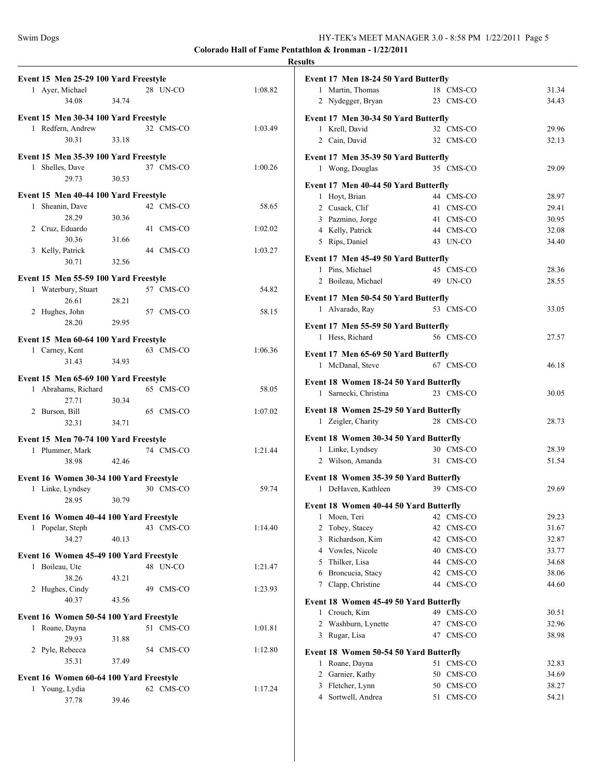|                                                                       |                |           |         | <b>Results</b> |
|-----------------------------------------------------------------------|----------------|-----------|---------|----------------|
| Event 15 Men 25-29 100 Yard Freestyle<br>1 Ayer, Michael<br>34.08     | 34.74          | 28 UN-CO  | 1:08.82 | Ev             |
| Event 15 Men 30-34 100 Yard Freestyle<br>1 Redfern, Andrew<br>30.31   | 33.18          | 32 CMS-CO | 1:03.49 | Ev             |
| Event 15 Men 35-39 100 Yard Freestyle<br>1 Shelles, Dave<br>29.73     | 30.53          | 37 CMS-CO | 1:00.26 | Ev             |
| Event 15 Men 40-44 100 Yard Freestyle<br>1 Sheanin, Dave              |                | 42 CMS-CO | 58.65   | Ev             |
| 28.29<br>2 Cruz, Eduardo<br>30.36                                     | 30.36<br>31.66 | 41 CMS-CO | 1:02.02 |                |
| 3 Kelly, Patrick<br>30.71                                             | 32.56          | 44 CMS-CO | 1:03.27 | Ev             |
| Event 15 Men 55-59 100 Yard Freestyle                                 |                |           |         |                |
| 1 Waterbury, Stuart<br>26.61                                          | 28.21          | 57 CMS-CO | 54.82   | Ev             |
| 2 Hughes, John<br>28.20                                               | 29.95          | 57 CMS-CO | 58.15   | Ev             |
| Event 15 Men 60-64 100 Yard Freestyle<br>1 Carney, Kent<br>31.43      | 34.93          | 63 CMS-CO | 1:06.36 | Ev             |
| Event 15 Men 65-69 100 Yard Freestyle<br>1 Abrahams, Richard<br>27.71 | 30.34          | 65 CMS-CO | 58.05   | Ev             |
| 2 Burson, Bill<br>32.31                                               | 34.71          | 65 CMS-CO | 1:07.02 | Ev             |
| Event 15 Men 70-74 100 Yard Freestyle<br>1 Plummer, Mark<br>38.98     | 42.46          | 74 CMS-CO | 1:21.44 | <b>Ev</b>      |
| Event 16 Women 30-34 100 Yard Freestyle                               |                |           |         | Ev             |
| 1 Linke, Lyndsey<br>28.95 30.79                                       |                | 30 CMS-CO | 59.74   | Ev             |
| Event 16 Women 40-44 100 Yard Freestyle                               |                |           |         |                |
| 1 Popelar, Steph<br>34.27                                             | 40.13          | 43 CMS-CO | 1:14.40 |                |
| Event 16 Women 45-49 100 Yard Freestyle                               |                |           |         |                |
| 1 Boileau, Ute<br>38.26                                               | 43.21          | 48 UN-CO  | 1:21.47 |                |
| 2 Hughes, Cindy<br>40.37                                              | 43.56          | 49 CMS-CO | 1:23.93 | Ev             |
| Event 16 Women 50-54 100 Yard Freestyle<br>1 Roane, Dayna<br>29.93    | 31.88          | 51 CMS-CO | 1:01.81 |                |
| 2 Pyle, Rebecca<br>35.31                                              | 37.49          | 54 CMS-CO | 1:12.80 | Evo            |
|                                                                       |                |           |         |                |
| Event 16 Women 60-64 100 Yard Freestyle<br>1 Young, Lydia<br>37.78    | 39.46          | 62 CMS-CO | 1:17.24 |                |

|   | Event 17 Men 18-24 50 Yard Butterfly   |    |           |       |
|---|----------------------------------------|----|-----------|-------|
|   | 1 Martin, Thomas                       |    | 18 CMS-CO | 31.34 |
|   | 2 Nydegger, Bryan                      |    | 23 CMS-CO | 34.43 |
|   |                                        |    |           |       |
|   | Event 17 Men 30-34 50 Yard Butterfly   |    |           |       |
|   | 1 Krell, David                         |    | 32 CMS-CO | 29.96 |
|   | 2 Cain, David                          |    | 32 CMS-CO | 32.13 |
|   | Event 17 Men 35-39 50 Yard Butterfly   |    |           |       |
|   | 1 Wong, Douglas                        |    | 35 CMS-CO | 29.09 |
|   |                                        |    |           |       |
|   | Event 17 Men 40-44 50 Yard Butterfly   |    |           |       |
|   | 1 Hoyt, Brian                          |    | 44 CMS-CO | 28.97 |
|   | 2 Cusack, Clif                         |    | 41 CMS-CO | 29.41 |
|   | 3 Pazmino, Jorge                       |    | 41 CMS-CO | 30.95 |
|   | 4 Kelly, Patrick                       |    | 44 CMS-CO | 32.08 |
|   | 5 Rips, Daniel                         |    | 43 UN-CO  | 34.40 |
|   | Event 17 Men 45-49 50 Yard Butterfly   |    |           |       |
|   | 1 Pins, Michael                        |    | 45 CMS-CO | 28.36 |
|   | 2 Boileau, Michael                     |    | 49 UN-CO  | 28.55 |
|   |                                        |    |           |       |
|   | Event 17 Men 50-54 50 Yard Butterfly   |    |           |       |
|   | 1 Alvarado, Ray                        |    | 53 CMS-CO | 33.05 |
|   | Event 17 Men 55-59 50 Yard Butterfly   |    |           |       |
|   | 1 Hess, Richard                        |    | 56 CMS-CO | 27.57 |
|   |                                        |    |           |       |
|   | Event 17 Men 65-69 50 Yard Butterfly   |    |           |       |
| 1 | McDanal, Steve                         |    | 67 CMS-CO | 46.18 |
|   | Event 18 Women 18-24 50 Yard Butterfly |    |           |       |
|   | 1 Sarnecki, Christina                  |    | 23 CMS-CO | 30.05 |
|   |                                        |    |           |       |
|   | Event 18 Women 25-29 50 Yard Butterfly |    |           |       |
|   | 1 Zeigler, Charity                     |    | 28 CMS-CO | 28.73 |
|   | Event 18 Women 30-34 50 Yard Butterfly |    |           |       |
|   | 1 Linke, Lyndsey                       |    | 30 CMS-CO | 28.39 |
|   | 2 Wilson, Amanda                       |    | 31 CMS-CO | 51.54 |
|   |                                        |    |           |       |
|   | Event 18 Women 35-39 50 Yard Butterfly |    | 39 CMS-CO |       |
| 1 | DeHaven, Kathleen                      |    |           | 29.69 |
|   | Event 18 Women 40-44 50 Yard Butterfly |    |           |       |
| 1 | Moen, Teri                             | 42 | CMS-CO    | 29.23 |
| 2 | Tobey, Stacey                          | 42 | CMS-CO    | 31.67 |
| 3 | Richardson, Kim                        | 42 | CMS-CO    | 32.87 |
|   | 4 Vowles, Nicole                       | 40 | CMS-CO    | 33.77 |
| 5 | Thilker, Lisa                          | 44 | CMS-CO    | 34.68 |
|   | 6 Broncucia, Stacy                     | 42 | CMS-CO    | 38.06 |
| 7 | Clapp, Christine                       | 44 | CMS-CO    | 44.60 |
|   |                                        |    |           |       |
|   | Event 18 Women 45-49 50 Yard Butterfly |    |           |       |
| 1 | Crouch, Kim                            |    | 49 CMS-CO | 30.51 |
| 2 | Washburn, Lynette                      | 47 | CMS-CO    | 32.96 |
|   | 3 Rugar, Lisa                          | 47 | CMS-CO    | 38.98 |
|   | Event 18 Women 50-54 50 Yard Butterfly |    |           |       |
| 1 | Roane, Dayna                           | 51 | CMS-CO    | 32.83 |
| 2 | Garnier, Kathy                         | 50 | CMS-CO    | 34.69 |
| 3 |                                        |    |           | 38.27 |
|   | Fletcher, Lynn                         | 50 | CMS-CO    |       |